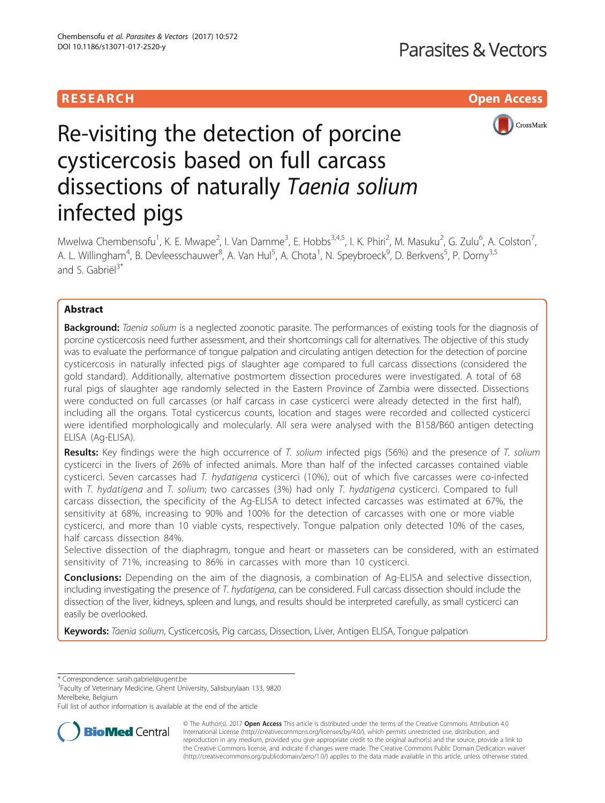# **RESEARCH CHILD CONTROL** CONTROL CONTROL CONTROL CONTROL CONTROL CONTROL CONTROL CONTROL CONTROL CONTROL CONTROL CONTROL CONTROL CONTROL CONTROL CONTROL CONTROL CONTROL CONTROL CONTROL CONTROL CONTROL CONTROL CONTROL CONTR



# Re-visiting the detection of porcine cysticercosis based on full carcass dissections of naturally Taenia solium infected pigs

Mwelwa Chembensofu<sup>1</sup>, K. E. Mwape<sup>2</sup>, I. Van Damme<sup>3</sup>, E. Hobbs<sup>3,4,5</sup>, I. K. Phiri<sup>2</sup>, M. Masuku<sup>2</sup>, G. Zulu<sup>6</sup>, A. Colston<sup>7</sup> , A. L. Willingham<sup>4</sup>, B. Devleesschauwer<sup>8</sup>, A. Van Hul<sup>5</sup>, A. Chota<sup>1</sup>, N. Speybroeck<sup>9</sup>, D. Berkvens<sup>5</sup>, P. Dorny<sup>3,5</sup> and S. Gabriël<sup>3\*</sup>

# Abstract

**Background:** Taenia solium is a neglected zoonotic parasite. The performances of existing tools for the diagnosis of porcine cysticercosis need further assessment, and their shortcomings call for alternatives. The objective of this study was to evaluate the performance of tongue palpation and circulating antigen detection for the detection of porcine cysticercosis in naturally infected pigs of slaughter age compared to full carcass dissections (considered the gold standard). Additionally, alternative postmortem dissection procedures were investigated. A total of 68 rural pigs of slaughter age randomly selected in the Eastern Province of Zambia were dissected. Dissections were conducted on full carcasses (or half carcass in case cysticerci were already detected in the first half), including all the organs. Total cysticercus counts, location and stages were recorded and collected cysticerci were identified morphologically and molecularly. All sera were analysed with the B158/B60 antigen detecting ELISA (Ag-ELISA).

Results: Key findings were the high occurrence of T. solium infected pigs (56%) and the presence of T. solium cysticerci in the livers of 26% of infected animals. More than half of the infected carcasses contained viable cysticerci. Seven carcasses had T. hydatigena cysticerci (10%), out of which five carcasses were co-infected with T. hydatigena and T. solium; two carcasses (3%) had only T. hydatigena cysticerci. Compared to full carcass dissection, the specificity of the Ag-ELISA to detect infected carcasses was estimated at 67%, the sensitivity at 68%, increasing to 90% and 100% for the detection of carcasses with one or more viable cysticerci, and more than 10 viable cysts, respectively. Tongue palpation only detected 10% of the cases, half carcass dissection 84%.

Selective dissection of the diaphragm, tongue and heart or masseters can be considered, with an estimated sensitivity of 71%, increasing to 86% in carcasses with more than 10 cysticerci.

**Conclusions:** Depending on the aim of the diagnosis, a combination of Ag-ELISA and selective dissection, including investigating the presence of T. hydatigena, can be considered. Full carcass dissection should include the dissection of the liver, kidneys, spleen and lungs, and results should be interpreted carefully, as small cysticerci can easily be overlooked.

Keywords: Taenia solium, Cysticercosis, Pig carcass, Dissection, Liver, Antigen ELISA, Tongue palpation

\* Correspondence: [sarah.gabriel@ugent.be](mailto:sarah.gabriel@ugent.be) <sup>3</sup>

<sup>3</sup>Faculty of Veterinary Medicine, Ghent University, Salisburylaan 133, 9820 Merelbeke, Belgium

Full list of author information is available at the end of the article



© The Author(s). 2017 **Open Access** This article is distributed under the terms of the Creative Commons Attribution 4.0 International License [\(http://creativecommons.org/licenses/by/4.0/](http://creativecommons.org/licenses/by/4.0/)), which permits unrestricted use, distribution, and reproduction in any medium, provided you give appropriate credit to the original author(s) and the source, provide a link to the Creative Commons license, and indicate if changes were made. The Creative Commons Public Domain Dedication waiver [\(http://creativecommons.org/publicdomain/zero/1.0/](http://creativecommons.org/publicdomain/zero/1.0/)) applies to the data made available in this article, unless otherwise stated.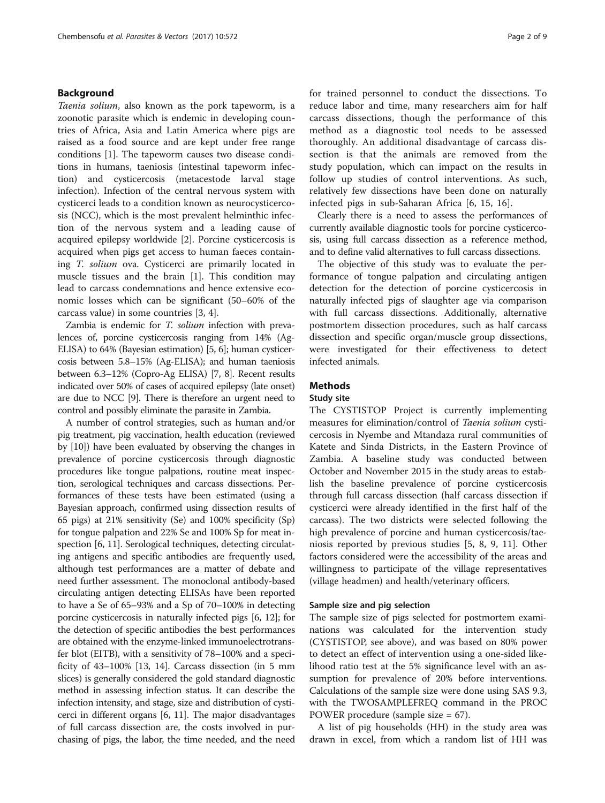## Background

Taenia solium, also known as the pork tapeworm, is a zoonotic parasite which is endemic in developing countries of Africa, Asia and Latin America where pigs are raised as a food source and are kept under free range conditions [\[1\]](#page-8-0). The tapeworm causes two disease conditions in humans, taeniosis (intestinal tapeworm infection) and cysticercosis (metacestode larval stage infection). Infection of the central nervous system with cysticerci leads to a condition known as neurocysticercosis (NCC), which is the most prevalent helminthic infection of the nervous system and a leading cause of acquired epilepsy worldwide [\[2](#page-8-0)]. Porcine cysticercosis is acquired when pigs get access to human faeces containing T. solium ova. Cysticerci are primarily located in muscle tissues and the brain [[1](#page-8-0)]. This condition may lead to carcass condemnations and hence extensive economic losses which can be significant (50–60% of the carcass value) in some countries [\[3](#page-8-0), [4](#page-8-0)].

Zambia is endemic for T. solium infection with prevalences of, porcine cysticercosis ranging from 14% (Ag-ELISA) to 64% (Bayesian estimation) [\[5, 6\]](#page-8-0); human cysticercosis between 5.8–15% (Ag-ELISA); and human taeniosis between 6.3–12% (Copro-Ag ELISA) [[7](#page-8-0), [8\]](#page-8-0). Recent results indicated over 50% of cases of acquired epilepsy (late onset) are due to NCC [[9\]](#page-8-0). There is therefore an urgent need to control and possibly eliminate the parasite in Zambia.

A number of control strategies, such as human and/or pig treatment, pig vaccination, health education (reviewed by [\[10](#page-8-0)]) have been evaluated by observing the changes in prevalence of porcine cysticercosis through diagnostic procedures like tongue palpations, routine meat inspection, serological techniques and carcass dissections. Performances of these tests have been estimated (using a Bayesian approach, confirmed using dissection results of 65 pigs) at 21% sensitivity (Se) and 100% specificity (Sp) for tongue palpation and 22% Se and 100% Sp for meat in-spection [\[6, 11](#page-8-0)]. Serological techniques, detecting circulating antigens and specific antibodies are frequently used, although test performances are a matter of debate and need further assessment. The monoclonal antibody-based circulating antigen detecting ELISAs have been reported to have a Se of 65–93% and a Sp of 70–100% in detecting porcine cysticercosis in naturally infected pigs [[6](#page-8-0), [12](#page-8-0)]; for the detection of specific antibodies the best performances are obtained with the enzyme-linked immunoelectrotransfer blot (EITB), with a sensitivity of 78–100% and a specificity of 43–100% [\[13](#page-8-0), [14](#page-8-0)]. Carcass dissection (in 5 mm slices) is generally considered the gold standard diagnostic method in assessing infection status. It can describe the infection intensity, and stage, size and distribution of cysticerci in different organs [[6, 11\]](#page-8-0). The major disadvantages of full carcass dissection are, the costs involved in purchasing of pigs, the labor, the time needed, and the need for trained personnel to conduct the dissections. To reduce labor and time, many researchers aim for half carcass dissections, though the performance of this method as a diagnostic tool needs to be assessed thoroughly. An additional disadvantage of carcass dissection is that the animals are removed from the study population, which can impact on the results in follow up studies of control interventions. As such, relatively few dissections have been done on naturally infected pigs in sub-Saharan Africa [[6](#page-8-0), [15](#page-8-0), [16](#page-8-0)].

Clearly there is a need to assess the performances of currently available diagnostic tools for porcine cysticercosis, using full carcass dissection as a reference method, and to define valid alternatives to full carcass dissections.

The objective of this study was to evaluate the performance of tongue palpation and circulating antigen detection for the detection of porcine cysticercosis in naturally infected pigs of slaughter age via comparison with full carcass dissections. Additionally, alternative postmortem dissection procedures, such as half carcass dissection and specific organ/muscle group dissections, were investigated for their effectiveness to detect infected animals.

# **Methods**

#### Study site

The CYSTISTOP Project is currently implementing measures for elimination/control of Taenia solium cysticercosis in Nyembe and Mtandaza rural communities of Katete and Sinda Districts, in the Eastern Province of Zambia. A baseline study was conducted between October and November 2015 in the study areas to establish the baseline prevalence of porcine cysticercosis through full carcass dissection (half carcass dissection if cysticerci were already identified in the first half of the carcass). The two districts were selected following the high prevalence of porcine and human cysticercosis/taeniosis reported by previous studies [\[5](#page-8-0), [8, 9](#page-8-0), [11\]](#page-8-0). Other factors considered were the accessibility of the areas and willingness to participate of the village representatives (village headmen) and health/veterinary officers.

#### Sample size and pig selection

The sample size of pigs selected for postmortem examinations was calculated for the intervention study (CYSTISTOP, see above), and was based on 80% power to detect an effect of intervention using a one-sided likelihood ratio test at the 5% significance level with an assumption for prevalence of 20% before interventions. Calculations of the sample size were done using SAS 9.3, with the TWOSAMPLEFREQ command in the PROC POWER procedure (sample size = 67).

A list of pig households (HH) in the study area was drawn in excel, from which a random list of HH was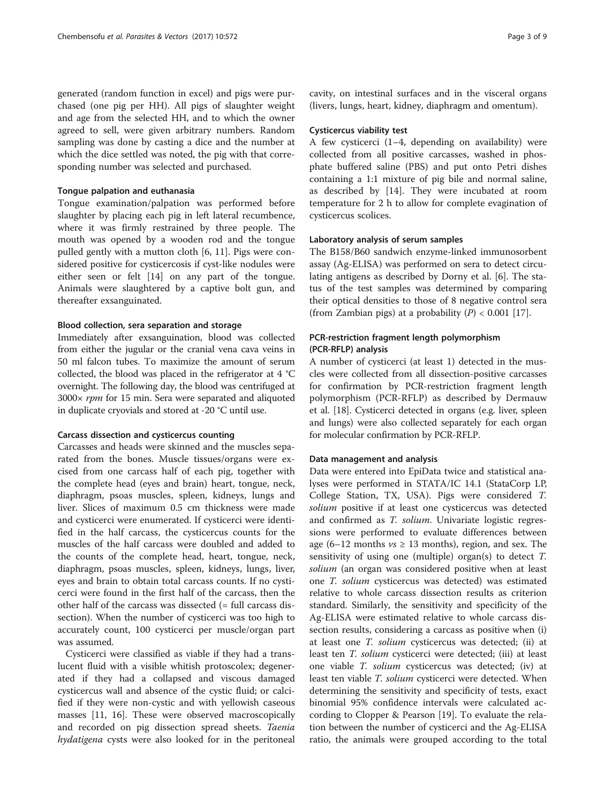generated (random function in excel) and pigs were purchased (one pig per HH). All pigs of slaughter weight and age from the selected HH, and to which the owner agreed to sell, were given arbitrary numbers. Random sampling was done by casting a dice and the number at which the dice settled was noted, the pig with that corresponding number was selected and purchased.

### Tongue palpation and euthanasia

Tongue examination/palpation was performed before slaughter by placing each pig in left lateral recumbence, where it was firmly restrained by three people. The mouth was opened by a wooden rod and the tongue pulled gently with a mutton cloth [\[6](#page-8-0), [11](#page-8-0)]. Pigs were considered positive for cysticercosis if cyst-like nodules were either seen or felt [[14\]](#page-8-0) on any part of the tongue. Animals were slaughtered by a captive bolt gun, and thereafter exsanguinated.

#### Blood collection, sera separation and storage

Immediately after exsanguination, blood was collected from either the jugular or the cranial vena cava veins in 50 ml falcon tubes. To maximize the amount of serum collected, the blood was placed in the refrigerator at 4 °C overnight. The following day, the blood was centrifuged at 3000× rpm for 15 min. Sera were separated and aliquoted in duplicate cryovials and stored at -20 °C until use.

### Carcass dissection and cysticercus counting

Carcasses and heads were skinned and the muscles separated from the bones. Muscle tissues/organs were excised from one carcass half of each pig, together with the complete head (eyes and brain) heart, tongue, neck, diaphragm, psoas muscles, spleen, kidneys, lungs and liver. Slices of maximum 0.5 cm thickness were made and cysticerci were enumerated. If cysticerci were identified in the half carcass, the cysticercus counts for the muscles of the half carcass were doubled and added to the counts of the complete head, heart, tongue, neck, diaphragm, psoas muscles, spleen, kidneys, lungs, liver, eyes and brain to obtain total carcass counts. If no cysticerci were found in the first half of the carcass, then the other half of the carcass was dissected (= full carcass dissection). When the number of cysticerci was too high to accurately count, 100 cysticerci per muscle/organ part was assumed.

Cysticerci were classified as viable if they had a translucent fluid with a visible whitish protoscolex; degenerated if they had a collapsed and viscous damaged cysticercus wall and absence of the cystic fluid; or calcified if they were non-cystic and with yellowish caseous masses [\[11](#page-8-0), [16\]](#page-8-0). These were observed macroscopically and recorded on pig dissection spread sheets. Taenia hydatigena cysts were also looked for in the peritoneal cavity, on intestinal surfaces and in the visceral organs (livers, lungs, heart, kidney, diaphragm and omentum).

## Cysticercus viability test

A few cysticerci (1–4, depending on availability) were collected from all positive carcasses, washed in phosphate buffered saline (PBS) and put onto Petri dishes containing a 1:1 mixture of pig bile and normal saline, as described by [[14\]](#page-8-0). They were incubated at room temperature for 2 h to allow for complete evagination of cysticercus scolices.

## Laboratory analysis of serum samples

The B158/B60 sandwich enzyme-linked immunosorbent assay (Ag-ELISA) was performed on sera to detect circulating antigens as described by Dorny et al. [[6](#page-8-0)]. The status of the test samples was determined by comparing their optical densities to those of 8 negative control sera (from Zambian pigs) at a probability  $(P) < 0.001$  [[17\]](#page-8-0).

# PCR-restriction fragment length polymorphism (PCR-RFLP) analysis

A number of cysticerci (at least 1) detected in the muscles were collected from all dissection-positive carcasses for confirmation by PCR-restriction fragment length polymorphism (PCR-RFLP) as described by Dermauw et al. [\[18\]](#page-8-0). Cysticerci detected in organs (e.g. liver, spleen and lungs) were also collected separately for each organ for molecular confirmation by PCR-RFLP.

#### Data management and analysis

Data were entered into EpiData twice and statistical analyses were performed in STATA/IC 14.1 (StataCorp LP, College Station, TX, USA). Pigs were considered T. solium positive if at least one cysticercus was detected and confirmed as T. solium. Univariate logistic regressions were performed to evaluate differences between age (6–12 months  $vs \ge 13$  months), region, and sex. The sensitivity of using one (multiple) organ(s) to detect T. solium (an organ was considered positive when at least one T. solium cysticercus was detected) was estimated relative to whole carcass dissection results as criterion standard. Similarly, the sensitivity and specificity of the Ag-ELISA were estimated relative to whole carcass dissection results, considering a carcass as positive when (i) at least one T. solium cysticercus was detected; (ii) at least ten *T. solium* cysticerci were detected; (iii) at least one viable T. solium cysticercus was detected; (iv) at least ten viable *T. solium* cysticerci were detected. When determining the sensitivity and specificity of tests, exact binomial 95% confidence intervals were calculated according to Clopper & Pearson [[19\]](#page-8-0). To evaluate the relation between the number of cysticerci and the Ag-ELISA ratio, the animals were grouped according to the total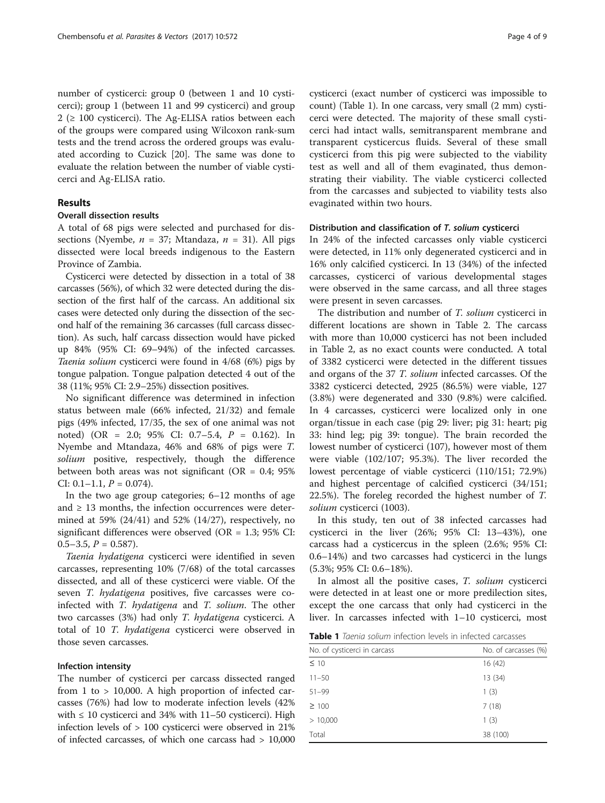number of cysticerci: group 0 (between 1 and 10 cysticerci); group 1 (between 11 and 99 cysticerci) and group 2 ( $\geq$  100 cysticerci). The Ag-ELISA ratios between each of the groups were compared using Wilcoxon rank-sum tests and the trend across the ordered groups was evaluated according to Cuzick [[20\]](#page-8-0). The same was done to evaluate the relation between the number of viable cysticerci and Ag-ELISA ratio.

## Results

# Overall dissection results

A total of 68 pigs were selected and purchased for dissections (Nyembe,  $n = 37$ ; Mtandaza,  $n = 31$ ). All pigs dissected were local breeds indigenous to the Eastern Province of Zambia.

Cysticerci were detected by dissection in a total of 38 carcasses (56%), of which 32 were detected during the dissection of the first half of the carcass. An additional six cases were detected only during the dissection of the second half of the remaining 36 carcasses (full carcass dissection). As such, half carcass dissection would have picked up 84% (95% CI: 69–94%) of the infected carcasses. Taenia solium cysticerci were found in 4/68 (6%) pigs by tongue palpation. Tongue palpation detected 4 out of the 38 (11%; 95% CI: 2.9–25%) dissection positives.

No significant difference was determined in infection status between male (66% infected, 21/32) and female pigs (49% infected, 17/35, the sex of one animal was not noted) (OR = 2.0; 95% CI: 0.7–5.4, P = 0.162). In Nyembe and Mtandaza, 46% and 68% of pigs were T. solium positive, respectively, though the difference between both areas was not significant ( $OR = 0.4$ ; 95% CI:  $0.1-1.1$ ,  $P = 0.074$ ).

In the two age group categories; 6–12 months of age and  $\geq$  13 months, the infection occurrences were determined at 59% (24/41) and 52% (14/27), respectively, no significant differences were observed (OR = 1.3; 95% CI:  $0.5-3.5$ ,  $P = 0.587$ ).

Taenia hydatigena cysticerci were identified in seven carcasses, representing 10% (7/68) of the total carcasses dissected, and all of these cysticerci were viable. Of the seven T. hydatigena positives, five carcasses were coinfected with T. hydatigena and T. solium. The other two carcasses (3%) had only T. hydatigena cysticerci. A total of 10 T. hydatigena cysticerci were observed in those seven carcasses.

#### Infection intensity

The number of cysticerci per carcass dissected ranged from 1 to > 10,000. A high proportion of infected carcasses (76%) had low to moderate infection levels (42% with  $\leq 10$  cysticerci and 34% with 11–50 cysticerci). High infection levels of > 100 cysticerci were observed in 21% of infected carcasses, of which one carcass had > 10,000 cysticerci (exact number of cysticerci was impossible to count) (Table 1). In one carcass, very small (2 mm) cysticerci were detected. The majority of these small cysticerci had intact walls, semitransparent membrane and transparent cysticercus fluids. Several of these small cysticerci from this pig were subjected to the viability test as well and all of them evaginated, thus demonstrating their viability. The viable cysticerci collected from the carcasses and subjected to viability tests also evaginated within two hours.

### Distribution and classification of T. solium cysticerci

In 24% of the infected carcasses only viable cysticerci were detected, in 11% only degenerated cysticerci and in 16% only calcified cysticerci. In 13 (34%) of the infected carcasses, cysticerci of various developmental stages were observed in the same carcass, and all three stages were present in seven carcasses.

The distribution and number of *T. solium* cysticerci in different locations are shown in Table [2.](#page-4-0) The carcass with more than 10,000 cysticerci has not been included in Table [2,](#page-4-0) as no exact counts were conducted. A total of 3382 cysticerci were detected in the different tissues and organs of the 37 T. solium infected carcasses. Of the 3382 cysticerci detected, 2925 (86.5%) were viable, 127 (3.8%) were degenerated and 330 (9.8%) were calcified. In 4 carcasses, cysticerci were localized only in one organ/tissue in each case (pig 29: liver; pig 31: heart; pig 33: hind leg; pig 39: tongue). The brain recorded the lowest number of cysticerci (107), however most of them were viable (102/107; 95.3%). The liver recorded the lowest percentage of viable cysticerci (110/151; 72.9%) and highest percentage of calcified cysticerci (34/151; 22.5%). The foreleg recorded the highest number of T. solium cysticerci (1003).

In this study, ten out of 38 infected carcasses had cysticerci in the liver (26%; 95% CI: 13–43%), one carcass had a cysticercus in the spleen (2.6%; 95% CI: 0.6–14%) and two carcasses had cysticerci in the lungs (5.3%; 95% CI: 0.6–18%).

In almost all the positive cases, T. solium cysticerci were detected in at least one or more predilection sites, except the one carcass that only had cysticerci in the liver. In carcasses infected with 1–10 cysticerci, most

Table 1 Taenia solium infection levels in infected carcasses

| No. of carcasses (%) |  |  |
|----------------------|--|--|
| 16 (42)              |  |  |
| 13 (34)              |  |  |
| 1(3)                 |  |  |
| 7(18)                |  |  |
| 1(3)                 |  |  |
| 38 (100)             |  |  |
|                      |  |  |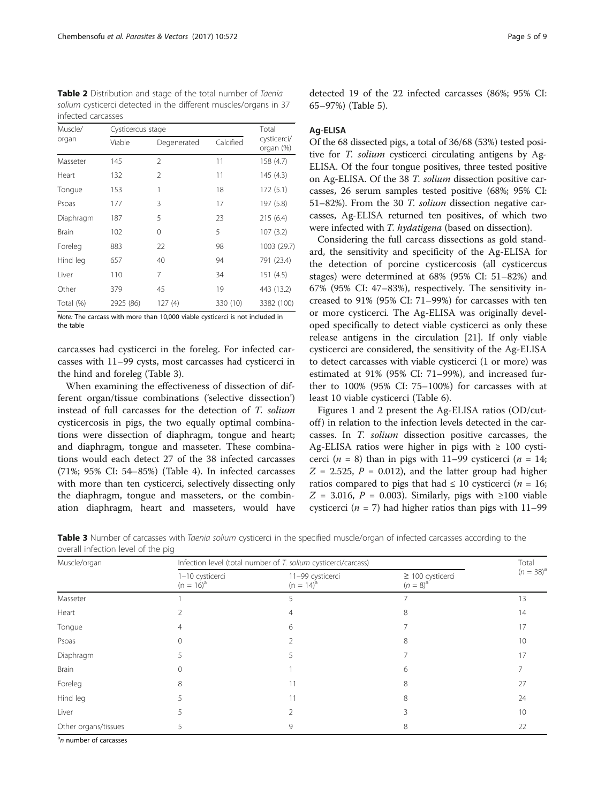<span id="page-4-0"></span>Table 2 Distribution and stage of the total number of Taenia solium cysticerci detected in the different muscles/organs in 37 infected carcasses

| Muscle/   | Cysticercus stage | Total         |           |                          |
|-----------|-------------------|---------------|-----------|--------------------------|
| organ     | Viable            | Degenerated   | Calcified | cysticerci/<br>organ (%) |
| Masseter  | 145               | $\mathcal{P}$ | 11        | 158 (4.7)                |
| Heart     | 132               | $\mathcal{P}$ | 11        | 145 (4.3)                |
| Tongue    | 153               | 1             | 18        | 172 (5.1)                |
| Psoas     | 177               | 3             | 17        | 197 (5.8)                |
| Diaphragm | 187               | 5             | 23        | 215(6.4)                 |
| Brain     | 102               | 0             | 5         | 107(3.2)                 |
| Foreleg   | 883               | 22            | 98        | 1003 (29.7)              |
| Hind leg  | 657               | 40            | 94        | 791 (23.4)               |
| Liver     | 110               | 7             | 34        | 151 (4.5)                |
| Other     | 379               | 45            | 19        | 443 (13.2)               |
| Total (%) | 2925 (86)         | 127 (4)       | 330 (10)  | 3382 (100)               |

Note: The carcass with more than 10,000 viable cysticerci is not included in the table

carcasses had cysticerci in the foreleg. For infected carcasses with 11–99 cysts, most carcasses had cysticerci in the hind and foreleg (Table 3).

When examining the effectiveness of dissection of different organ/tissue combinations ('selective dissection') instead of full carcasses for the detection of T. solium cysticercosis in pigs, the two equally optimal combinations were dissection of diaphragm, tongue and heart; and diaphragm, tongue and masseter. These combinations would each detect 27 of the 38 infected carcasses (71%; 95% CI: 54–85%) (Table [4](#page-5-0)). In infected carcasses with more than ten cysticerci, selectively dissecting only the diaphragm, tongue and masseters, or the combination diaphragm, heart and masseters, would have

detected 19 of the 22 infected carcasses (86%; 95% CI: 65–97%) (Table [5](#page-5-0)).

#### Ag-ELISA

Of the 68 dissected pigs, a total of 36/68 (53%) tested positive for T. solium cysticerci circulating antigens by Ag-ELISA. Of the four tongue positives, three tested positive on Ag-ELISA. Of the 38 T. solium dissection positive carcasses, 26 serum samples tested positive (68%; 95% CI: 51–82%). From the 30 T. solium dissection negative carcasses, Ag-ELISA returned ten positives, of which two were infected with T. hydatigena (based on dissection).

Considering the full carcass dissections as gold standard, the sensitivity and specificity of the Ag-ELISA for the detection of porcine cysticercosis (all cysticercus stages) were determined at 68% (95% CI: 51–82%) and 67% (95% CI: 47–83%), respectively. The sensitivity increased to 91% (95% CI: 71–99%) for carcasses with ten or more cysticerci. The Ag-ELISA was originally developed specifically to detect viable cysticerci as only these release antigens in the circulation [\[21](#page-8-0)]. If only viable cysticerci are considered, the sensitivity of the Ag-ELISA to detect carcasses with viable cysticerci (1 or more) was estimated at 91% (95% CI: 71–99%), and increased further to 100% (95% CI: 75–100%) for carcasses with at least 10 viable cysticerci (Table [6](#page-6-0)).

Figures [1](#page-6-0) and [2](#page-7-0) present the Ag-ELISA ratios (OD/cutoff) in relation to the infection levels detected in the carcasses. In T. solium dissection positive carcasses, the Ag-ELISA ratios were higher in pigs with  $\geq 100$  cysticerci ( $n = 8$ ) than in pigs with 11–99 cysticerci ( $n = 14$ ;  $Z = 2.525$ ,  $P = 0.012$ ), and the latter group had higher ratios compared to pigs that had  $\leq 10$  cysticerci (*n* = 16;  $Z = 3.016$ ,  $P = 0.003$ ). Similarly, pigs with ≥100 viable cysticerci ( $n = 7$ ) had higher ratios than pigs with 11–99

| Muscle/organ         | Infection level (total number of T. solium cysticerci/carcass) |                                  |                                        |                |
|----------------------|----------------------------------------------------------------|----------------------------------|----------------------------------------|----------------|
|                      | 1-10 cysticerci<br>$(n = 16)^a$                                | 11-99 cysticerci<br>$(n = 14)^a$ | $\geq$ 100 cysticerci<br>$(n = 8)^{a}$ | $(n = 38)^{a}$ |
| Masseter             |                                                                |                                  |                                        | 13             |
| Heart                |                                                                |                                  | 8                                      | 14             |
| Tongue               |                                                                | 6                                |                                        | 17             |
| Psoas                | $\Omega$                                                       |                                  | 8                                      | 10             |
| Diaphragm            |                                                                |                                  |                                        |                |
| <b>Brain</b>         |                                                                |                                  | h                                      |                |
| Foreleg              | 8                                                              |                                  |                                        | 27             |
| Hind leg             |                                                                |                                  | 8                                      | 24             |
| Liver                |                                                                |                                  |                                        | 10             |
| Other organs/tissues |                                                                | 9                                | 8                                      | 22             |

Table 3 Number of carcasses with Taenia solium cysticerci in the specified muscle/organ of infected carcasses according to the overall infection level of the pig

<sup>a</sup>n number of carcasses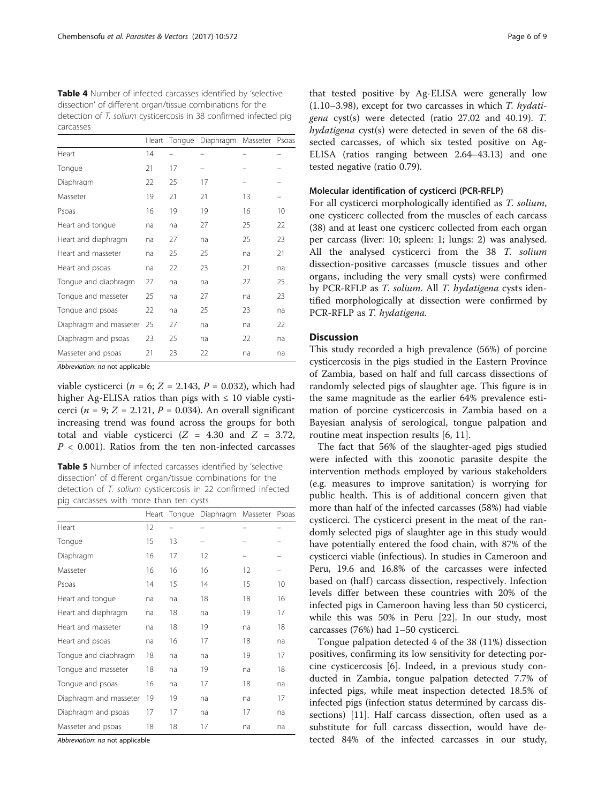<span id="page-5-0"></span>Table 4 Number of infected carcasses identified by 'selective dissection' of different organ/tissue combinations for the detection of T. solium cysticercosis in 38 confirmed infected pig carcasses

|                        | Heart | Tongue | Diaphragm | Masseter | Psoas |
|------------------------|-------|--------|-----------|----------|-------|
| Heart                  | 14    |        |           |          |       |
| Tongue                 | 21    | 17     |           |          |       |
| Diaphragm              | 22    | 25     | 17        |          |       |
| Masseter               | 19    | 21     | 21        | 13       |       |
| Psoas                  | 16    | 19     | 19        | 16       | 10    |
| Heart and tongue       | na    | na     | 27        | 25       | 22    |
| Heart and diaphragm    | na    | 27     | na        | 25       | 23    |
| Heart and masseter     | na    | 25     | 25        | na       | 21    |
| Heart and psoas        | na    | 22     | 23        | 21       | na    |
| Tonque and diaphragm   | 27    | na     | na        | 27       | 25    |
| Tonque and masseter    | 25    | na     | 27        | na       | 23    |
| Tonque and psoas       | 22    | na     | 25        | 23       | na    |
| Diaphragm and masseter | 25    | 27     | na        | na       | 22    |
| Diaphragm and psoas    | 23    | 25     | na        | 22       | na    |
| Masseter and psoas     | 21    | 23     | 22        | na       | na    |

Abbreviation: na not applicable

viable cysticerci ( $n = 6$ ;  $Z = 2.143$ ,  $P = 0.032$ ), which had higher Ag-ELISA ratios than pigs with  $\leq 10$  viable cysticerci ( $n = 9$ ;  $Z = 2.121$ ,  $P = 0.034$ ). An overall significant increasing trend was found across the groups for both total and viable cysticerci  $(Z = 4.30$  and  $Z = 3.72$ ,  $P < 0.001$ ). Ratios from the ten non-infected carcasses

Table 5 Number of infected carcasses identified by 'selective dissection' of different organ/tissue combinations for the detection of T. solium cysticercosis in 22 confirmed infected pig carcasses with more than ten cysts

|                        | Heart | Tongue | Diaphragm | Masseter | Psoas |
|------------------------|-------|--------|-----------|----------|-------|
| Heart                  | 12    |        |           |          |       |
| Tongue                 | 15    | 13     |           |          |       |
| Diaphragm              | 16    | 17     | 12        |          |       |
| Masseter               | 16    | 16     | 16        | 12       |       |
| Psoas                  | 14    | 15     | 14        | 15       | 10    |
| Heart and tongue       | na    | na     | 18        | 18       | 16    |
| Heart and diaphragm    | na    | 18     | na        | 19       | 17    |
| Heart and masseter     | na    | 18     | 19        | na       | 18    |
| Heart and psoas        | na    | 16     | 17        | 18       | na    |
| Tonque and diaphragm   | 18    | na     | na        | 19       | 17    |
| Tonque and masseter    | 18    | na     | 19        | na       | 18    |
| Tonque and psoas       | 16    | na     | 17        | 18       | na    |
| Diaphragm and masseter | 19    | 19     | na        | na       | 17    |
| Diaphragm and psoas    | 17    | 17     | na        | 17       | na    |
| Masseter and psoas     | 18    | 18     | 17        | na       | na    |

Abbreviation: na not applicable

that tested positive by Ag-ELISA were generally low  $(1.10-3.98)$ , except for two carcasses in which T. hydatigena cyst(s) were detected (ratio 27.02 and 40.19). T. hydatigena cyst(s) were detected in seven of the 68 dissected carcasses, of which six tested positive on Ag-ELISA (ratios ranging between 2.64–43.13) and one tested negative (ratio 0.79).

#### Molecular identification of cysticerci (PCR-RFLP)

For all cysticerci morphologically identified as T. solium, one cysticerc collected from the muscles of each carcass (38) and at least one cysticerc collected from each organ per carcass (liver: 10; spleen: 1; lungs: 2) was analysed. All the analysed cysticerci from the 38 T. solium dissection-positive carcasses (muscle tissues and other organs, including the very small cysts) were confirmed by PCR-RFLP as T. solium. All T. hydatigena cysts identified morphologically at dissection were confirmed by PCR-RFLP as T. hydatigena.

## **Discussion**

This study recorded a high prevalence (56%) of porcine cysticercosis in the pigs studied in the Eastern Province of Zambia, based on half and full carcass dissections of randomly selected pigs of slaughter age. This figure is in the same magnitude as the earlier 64% prevalence estimation of porcine cysticercosis in Zambia based on a Bayesian analysis of serological, tongue palpation and routine meat inspection results [\[6](#page-8-0), [11](#page-8-0)].

The fact that 56% of the slaughter-aged pigs studied were infected with this zoonotic parasite despite the intervention methods employed by various stakeholders (e.g. measures to improve sanitation) is worrying for public health. This is of additional concern given that more than half of the infected carcasses (58%) had viable cysticerci. The cysticerci present in the meat of the randomly selected pigs of slaughter age in this study would have potentially entered the food chain, with 87% of the cysticerci viable (infectious). In studies in Cameroon and Peru, 19.6 and 16.8% of the carcasses were infected based on (half) carcass dissection, respectively. Infection levels differ between these countries with 20% of the infected pigs in Cameroon having less than 50 cysticerci, while this was 50% in Peru [\[22\]](#page-8-0). In our study, most carcasses (76%) had 1–50 cysticerci.

Tongue palpation detected 4 of the 38 (11%) dissection positives, confirming its low sensitivity for detecting porcine cysticercosis [\[6\]](#page-8-0). Indeed, in a previous study conducted in Zambia, tongue palpation detected 7.7% of infected pigs, while meat inspection detected 18.5% of infected pigs (infection status determined by carcass dissections) [[11](#page-8-0)]. Half carcass dissection, often used as a substitute for full carcass dissection, would have detected 84% of the infected carcasses in our study,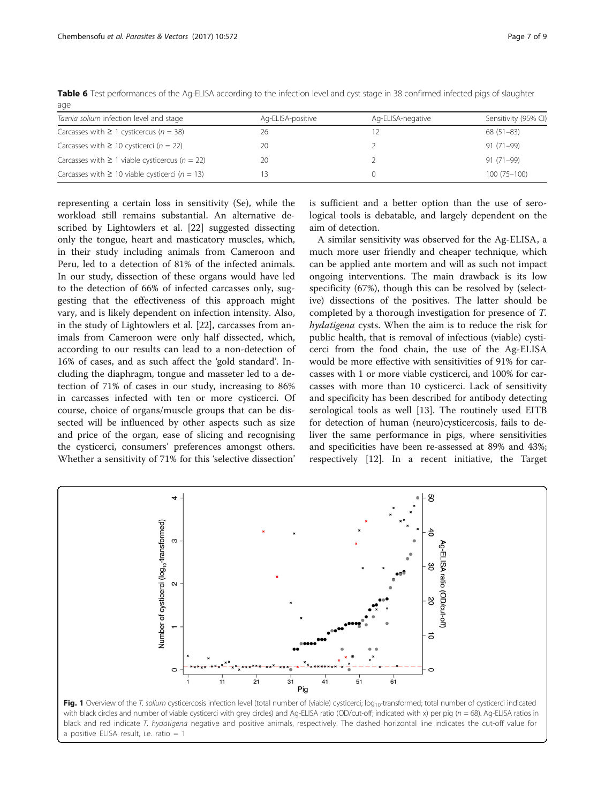| Ag-ELISA-positive | Ag-ELISA-negative | Sensitivity (95% CI) |
|-------------------|-------------------|----------------------|
| 26                |                   | $68(51-83)$          |
| 20                |                   | $91(71-99)$          |
| 20                |                   | $91(71-99)$          |
|                   |                   | $100(75 - 100)$      |
|                   |                   |                      |

<span id="page-6-0"></span>Table 6 Test performances of the Ag-ELISA according to the infection level and cyst stage in 38 confirmed infected pigs of slaughter age

representing a certain loss in sensitivity (Se), while the workload still remains substantial. An alternative described by Lightowlers et al. [[22\]](#page-8-0) suggested dissecting only the tongue, heart and masticatory muscles, which, in their study including animals from Cameroon and Peru, led to a detection of 81% of the infected animals. In our study, dissection of these organs would have led to the detection of 66% of infected carcasses only, suggesting that the effectiveness of this approach might vary, and is likely dependent on infection intensity. Also, in the study of Lightowlers et al. [\[22\]](#page-8-0), carcasses from animals from Cameroon were only half dissected, which, according to our results can lead to a non-detection of 16% of cases, and as such affect the 'gold standard'. Including the diaphragm, tongue and masseter led to a detection of 71% of cases in our study, increasing to 86% in carcasses infected with ten or more cysticerci. Of course, choice of organs/muscle groups that can be dissected will be influenced by other aspects such as size and price of the organ, ease of slicing and recognising the cysticerci, consumers' preferences amongst others. Whether a sensitivity of 71% for this 'selective dissection'

is sufficient and a better option than the use of serological tools is debatable, and largely dependent on the aim of detection.

A similar sensitivity was observed for the Ag-ELISA, a much more user friendly and cheaper technique, which can be applied ante mortem and will as such not impact ongoing interventions. The main drawback is its low specificity (67%), though this can be resolved by (selective) dissections of the positives. The latter should be completed by a thorough investigation for presence of T. hydatigena cysts. When the aim is to reduce the risk for public health, that is removal of infectious (viable) cysticerci from the food chain, the use of the Ag-ELISA would be more effective with sensitivities of 91% for carcasses with 1 or more viable cysticerci, and 100% for carcasses with more than 10 cysticerci. Lack of sensitivity and specificity has been described for antibody detecting serological tools as well [\[13\]](#page-8-0). The routinely used EITB for detection of human (neuro)cysticercosis, fails to deliver the same performance in pigs, where sensitivities and specificities have been re-assessed at 89% and 43%; respectively [\[12\]](#page-8-0). In a recent initiative, the Target



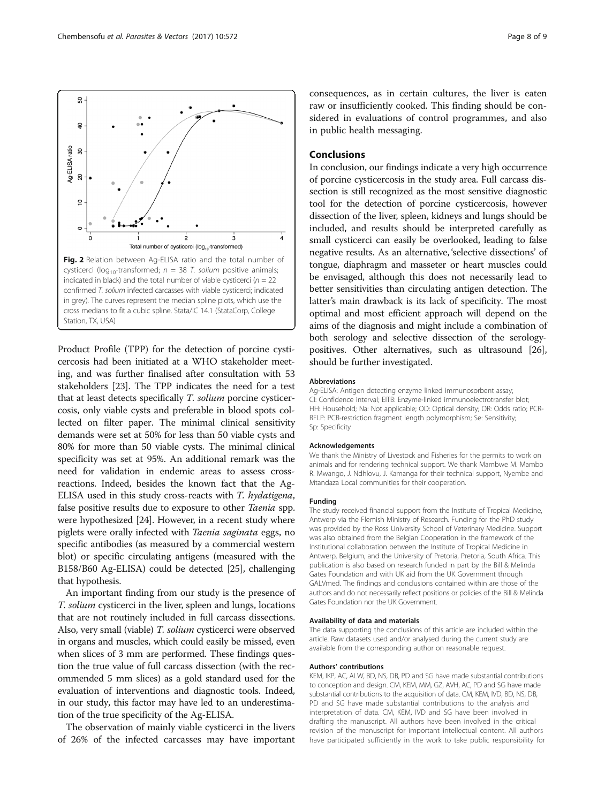<span id="page-7-0"></span>

Product Profile (TPP) for the detection of porcine cysticercosis had been initiated at a WHO stakeholder meeting, and was further finalised after consultation with 53 stakeholders [\[23](#page-8-0)]. The TPP indicates the need for a test that at least detects specifically T. solium porcine cysticercosis, only viable cysts and preferable in blood spots collected on filter paper. The minimal clinical sensitivity demands were set at 50% for less than 50 viable cysts and 80% for more than 50 viable cysts. The minimal clinical specificity was set at 95%. An additional remark was the need for validation in endemic areas to assess crossreactions. Indeed, besides the known fact that the Ag-ELISA used in this study cross-reacts with T. hydatigena, false positive results due to exposure to other Taenia spp. were hypothesized [\[24\]](#page-8-0). However, in a recent study where piglets were orally infected with Taenia saginata eggs, no specific antibodies (as measured by a commercial western blot) or specific circulating antigens (measured with the B158/B60 Ag-ELISA) could be detected [[25](#page-8-0)], challenging that hypothesis.

An important finding from our study is the presence of T. solium cysticerci in the liver, spleen and lungs, locations that are not routinely included in full carcass dissections. Also, very small (viable) T. solium cysticerci were observed in organs and muscles, which could easily be missed, even when slices of 3 mm are performed. These findings question the true value of full carcass dissection (with the recommended 5 mm slices) as a gold standard used for the evaluation of interventions and diagnostic tools. Indeed, in our study, this factor may have led to an underestimation of the true specificity of the Ag-ELISA.

The observation of mainly viable cysticerci in the livers of 26% of the infected carcasses may have important

consequences, as in certain cultures, the liver is eaten raw or insufficiently cooked. This finding should be considered in evaluations of control programmes, and also in public health messaging.

## Conclusions

In conclusion, our findings indicate a very high occurrence of porcine cysticercosis in the study area. Full carcass dissection is still recognized as the most sensitive diagnostic tool for the detection of porcine cysticercosis, however dissection of the liver, spleen, kidneys and lungs should be included, and results should be interpreted carefully as small cysticerci can easily be overlooked, leading to false negative results. As an alternative, 'selective dissections' of tongue, diaphragm and masseter or heart muscles could be envisaged, although this does not necessarily lead to better sensitivities than circulating antigen detection. The latter's main drawback is its lack of specificity. The most optimal and most efficient approach will depend on the aims of the diagnosis and might include a combination of both serology and selective dissection of the serologypositives. Other alternatives, such as ultrasound [[26](#page-8-0)], should be further investigated.

#### Abbreviations

Ag-ELISA: Antigen detecting enzyme linked immunosorbent assay; CI: Confidence interval; EITB: Enzyme-linked immunoelectrotransfer blot; HH: Household; Na: Not applicable; OD: Optical density; OR: Odds ratio; PCR-RFLP: PCR-restriction fragment length polymorphism; Se: Sensitivity; Sp: Specificity

#### Acknowledgements

We thank the Ministry of Livestock and Fisheries for the permits to work on animals and for rendering technical support. We thank Mambwe M. Mambo R. Mwango, J. Ndhlovu, J. Kamanga for their technical support, Nyembe and Mtandaza Local communities for their cooperation.

#### Funding

The study received financial support from the Institute of Tropical Medicine, Antwerp via the Flemish Ministry of Research. Funding for the PhD study was provided by the Ross University School of Veterinary Medicine. Support was also obtained from the Belgian Cooperation in the framework of the Institutional collaboration between the Institute of Tropical Medicine in Antwerp, Belgium, and the University of Pretoria, Pretoria, South Africa. This publication is also based on research funded in part by the Bill & Melinda Gates Foundation and with UK aid from the UK Government through GALVmed. The findings and conclusions contained within are those of the authors and do not necessarily reflect positions or policies of the Bill & Melinda Gates Foundation nor the UK Government.

#### Availability of data and materials

The data supporting the conclusions of this article are included within the article. Raw datasets used and/or analysed during the current study are available from the corresponding author on reasonable request.

#### Authors' contributions

KEM, IKP, AC, ALW, BD, NS, DB, PD and SG have made substantial contributions to conception and design. CM, KEM, MM, GZ, AVH, AC, PD and SG have made substantial contributions to the acquisition of data. CM, KEM, IVD, BD, NS, DB, PD and SG have made substantial contributions to the analysis and interpretation of data. CM, KEM, IVD and SG have been involved in drafting the manuscript. All authors have been involved in the critical revision of the manuscript for important intellectual content. All authors have participated sufficiently in the work to take public responsibility for